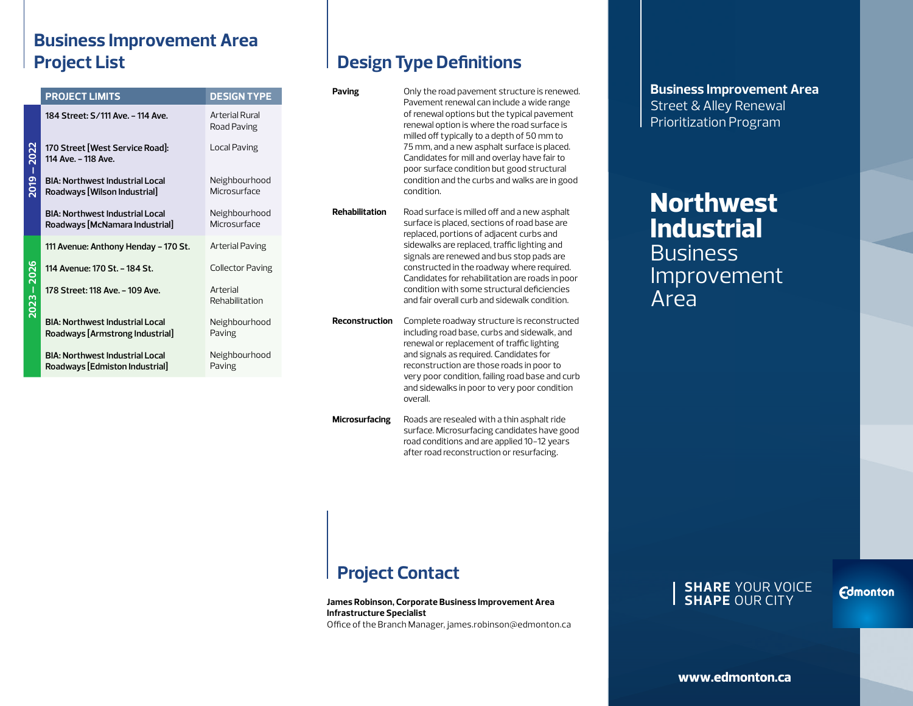## **Business Improvement Area Project List**

|             | <b>PROJECT LIMITS</b>                                                     | <b>DESIGN TYPE</b>                   |
|-------------|---------------------------------------------------------------------------|--------------------------------------|
|             | 184 Street: S/111 Ave. - 114 Ave.                                         | <b>Arterial Rural</b><br>Road Paving |
| 2019 – 2022 | 170 Street [West Service Road]:<br>114 Ave. - 118 Ave.                    | Local Paving                         |
|             | <b>BIA: Northwest Industrial Local</b><br>Roadways [Wilson Industrial]    | Neighbourhood<br>Microsurface        |
|             | <b>BIA: Northwest Industrial Local</b><br>Roadways [McNamara Industrial]  | Neighbourhood<br>Microsurface        |
|             | 111 Avenue: Anthony Henday - 170 St.                                      | Arterial Paving                      |
| $-2026$     | 114 Avenue: 170 St. - 184 St.                                             | <b>Collector Paving</b>              |
|             | 178 Street: 118 Ave. - 109 Ave.                                           | Arterial<br>Rehabilitation           |
|             | <b>BIA: Northwest Industrial Local</b><br>Roadways [Armstrong Industrial] | Neighbourhood<br>Paving              |
|             | <b>BIA: Northwest Industrial Local</b><br>Roadways [Edmiston Industrial]  | Neighbourhood<br>Paving              |
|             |                                                                           |                                      |

# **Design Type Definitions**

| Paving                | Only the road pavement structure is renewed.<br>Pavement renewal can include a wide range<br>of renewal options but the typical pavement<br>renewal option is where the road surface is<br>milled off typically to a depth of 50 mm to<br>75 mm, and a new asphalt surface is placed.<br>Candidates for mill and overlay have fair to<br>poor surface condition but good structural<br>condition and the curbs and walks are in good<br>condition. |
|-----------------------|----------------------------------------------------------------------------------------------------------------------------------------------------------------------------------------------------------------------------------------------------------------------------------------------------------------------------------------------------------------------------------------------------------------------------------------------------|
| <b>Rehabilitation</b> | Road surface is milled off and a new asphalt<br>surface is placed, sections of road base are<br>replaced, portions of adjacent curbs and<br>sidewalks are replaced, traffic lighting and<br>signals are renewed and bus stop pads are<br>constructed in the roadway where required.<br>Candidates for rehabilitation are roads in poor<br>condition with some structural deficiencies<br>and fair overall curb and sidewalk condition.             |
| <b>Reconstruction</b> | Complete roadway structure is reconstructed<br>including road base, curbs and sidewalk, and<br>renewal or replacement of traffic lighting<br>and signals as required. Candidates for<br>reconstruction are those roads in poor to<br>very poor condition, failing road base and curb<br>and sidewalks in poor to very poor condition<br>overall.                                                                                                   |

**Microsurfacing** Roads are resealed with a thin asphalt ride surface. Microsurfacing candidates have good road conditions and are applied 10-12 years after road reconstruction or resurfacing.

# **Project Contact**

**James Robinson, Corporate Business Improvement Area Infrastructure Specialist**

Office of the Branch Manager, james.robinson@edmonton.ca

### **Business Improvement Area** Street & Alley Renewal Prioritization Program

# **Northwest Industrial Business** Improvement Area

#### **SHARE** YOUR VOICE **SHAPE** OUR CITY

**Edmonton**